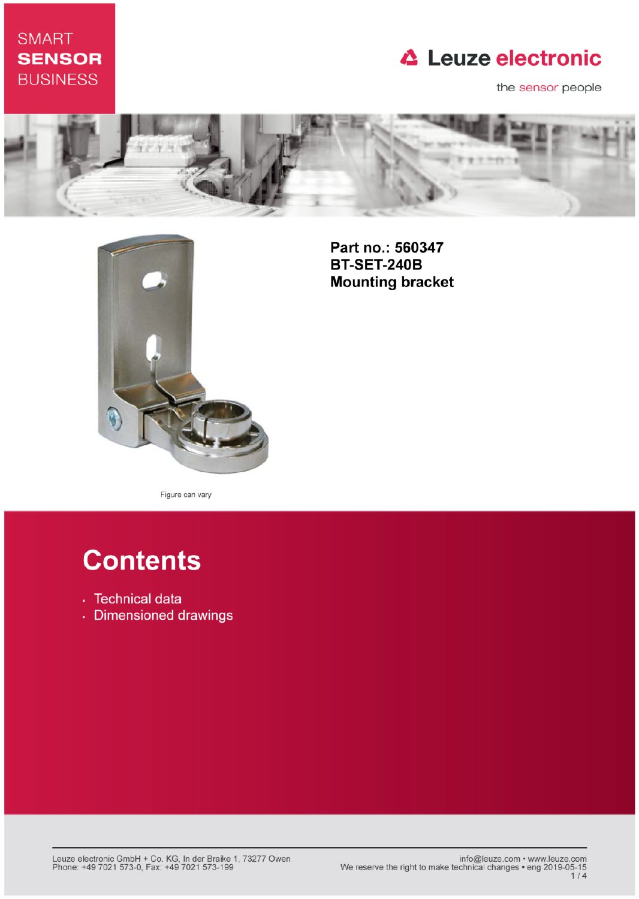## **SMART SENSOR BUSINESS**

## **△ Leuze electronic**

the sensor people





Part no.: 560347 **BT-SET-240B Mounting bracket** 

Figure can vary

# **Contents**

- · Technical data
- · Dimensioned drawings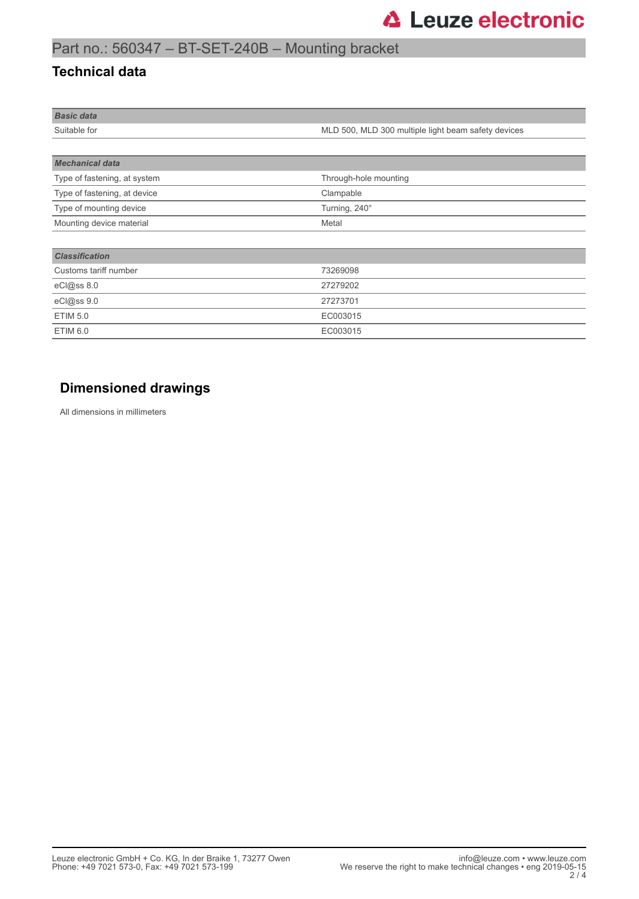## Part no.: 560347 – BT-SET-240B – Mounting bracket

#### **Technical data**

| <b>Basic data</b> |                                                     |
|-------------------|-----------------------------------------------------|
| Suitable for      | MLD 500, MLD 300 multiple light beam safety devices |
|                   |                                                     |

| <b>Mechanical data</b>       |                       |
|------------------------------|-----------------------|
| Type of fastening, at system | Through-hole mounting |
| Type of fastening, at device | Clampable             |
| Type of mounting device      | Turning, 240°         |
| Mounting device material     | Metal                 |
|                              |                       |
| <b>Classification</b>        |                       |

| Customs tariff number | 73269098 |
|-----------------------|----------|
|                       |          |
| eCl@ss 8.0            | 27279202 |
| eCl@ss 9.0            | 27273701 |
| ETIM 5.0              | EC003015 |
| ETIM 6.0              | EC003015 |

### **Dimensioned drawings**

All dimensions in millimeters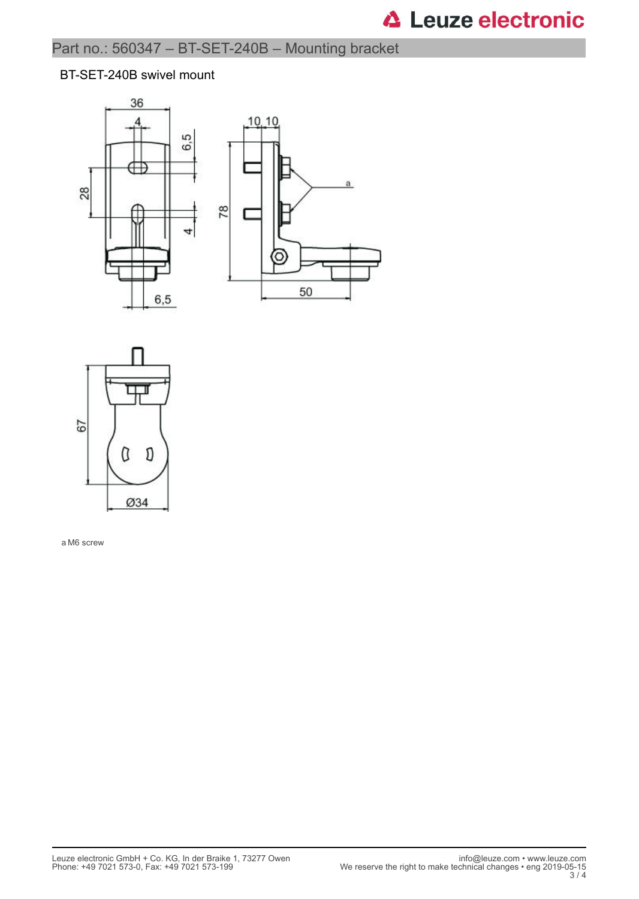#### BT-SET-240B swivel mount





a M6 screw